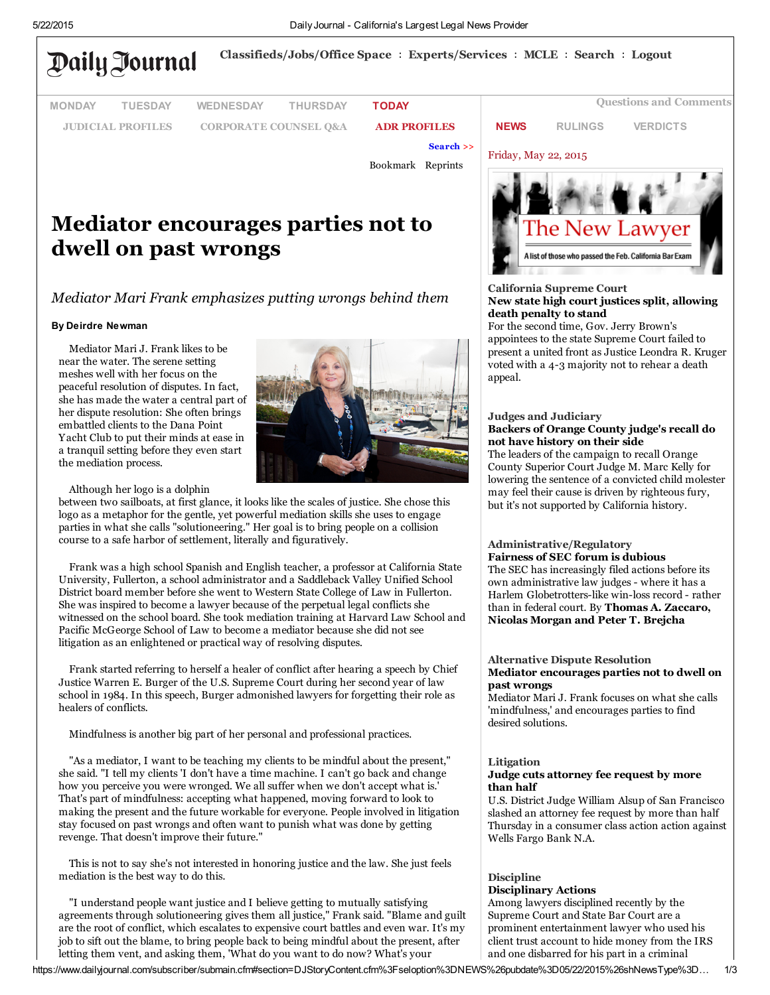

# Mediator encourages parties not to dwell on past wrongs

## *Mediator Mari Frank emphasizes putting wrongs behind them*

#### By Deirdre Newman

Mediator Mari J. Frank likes to be near the water. The serene setting meshes well with her focus on the peaceful resolution of disputes. In fact, she has made the water a central part of her dispute resolution: She often brings embattled clients to the Dana Point Yacht Club to put their minds at ease in a tranquil setting before they even start the mediation process.



Although her logo is a dolphin

between two sailboats, at first glance, it looks like the scales of justice. She chose this logo as a metaphor for the gentle, yet powerful mediation skills she uses to engage parties in what she calls "solutioneering." Her goal is to bring people on a collision course to a safe harbor of settlement, literally and figuratively.

Frank was a high school Spanish and English teacher, a professor at California State University, Fullerton, a school administrator and a Saddleback Valley Unified School District board member before she went to Western State College of Law in Fullerton. She was inspired to become a lawyer because of the perpetual legal conflicts she witnessed on the school board. She took mediation training at Harvard Law School and Pacific McGeorge School of Law to become a mediator because she did not see litigation as an enlightened or practical way of resolving disputes.

Frank started referring to herself a healer of conflict after hearing a speech by Chief Justice Warren E. Burger of the U.S. Supreme Court during her second year of law school in 1984. In this speech, Burger admonished lawyers for forgetting their role as healers of conflicts.

Mindfulness is another big part of her personal and professional practices.

"As a mediator, I want to be teaching my clients to be mindful about the present," she said. "I tell my clients 'I don't have a time machine. I can't go back and change how you perceive you were wronged. We all suffer when we don't accept what is.' That's part of mindfulness: accepting what happened, moving forward to look to making the present and the future workable for everyone. People involved in litigation stay focused on past wrongs and often want to punish what was done by getting revenge. That doesn't improve their future."

This is not to say she's not interested in honoring justice and the law. She just feels mediation is the best way to do this.

"I understand people want justice and I believe getting to mutually satisfying agreements through solutioneering gives them all justice," Frank said. "Blame and guilt are the root of conflict, which escalates to expensive court battles and even war. It's my job to sift out the blame, to bring people back to being mindful about the present, after letting them vent, and asking them, 'What do you want to do now? What's your



## California Supreme Court New state high court justices split, allowing death penalty to stand

For the second time, Gov. Jerry Brown's appointees to the state Supreme Court failed to [present a united front as Justice Leondra R. Kruger](javascript:pnListName=) voted with a 4-3 majority not to rehear a death appeal.

## Judges and Judiciary Backers of Orange County judge's recall do not have history on their side

The leaders of the campaign to recall Orange County Superior Court Judge M. Marc Kelly for [lowering the sentence of a convicted child molester](javascript:pnListName=) may feel their cause is driven by righteous fury, but it's not supported by California history.

#### Administrative/Regulatory Fairness of SEC forum is dubious

The SEC has increasingly filed actions before its own administrative law judges - where it has a [Harlem Globetrotters-like win-loss record - rather](javascript:pnListName=) than in federal court. By Thomas A. Zaccaro, Nicolas Morgan and Peter T. Brejcha

#### Alternative Dispute Resolution [Mediator encourages parties not to dwell on](javascript:pnListName=) past wrongs

Mediator Mari J. Frank focuses on what she calls 'mindfulness,' and encourages parties to find desired solutions.

#### Litigation

#### Judge cuts attorney fee request by more than half

U.S. District Judge William Alsup of San Francisco slashed an attorney fee request by more than half [Thursday in a consumer class action action against](javascript:pnListName=) Wells Fargo Bank N.A.

## Discipline Disciplinary Actions

Among lawyers disciplined recently by the Supreme Court and State Bar Court are a prominent entertainment lawyer who used his [client trust account to hide money from the IRS](javascript:pnListName=) and one disbarred for his part in a criminal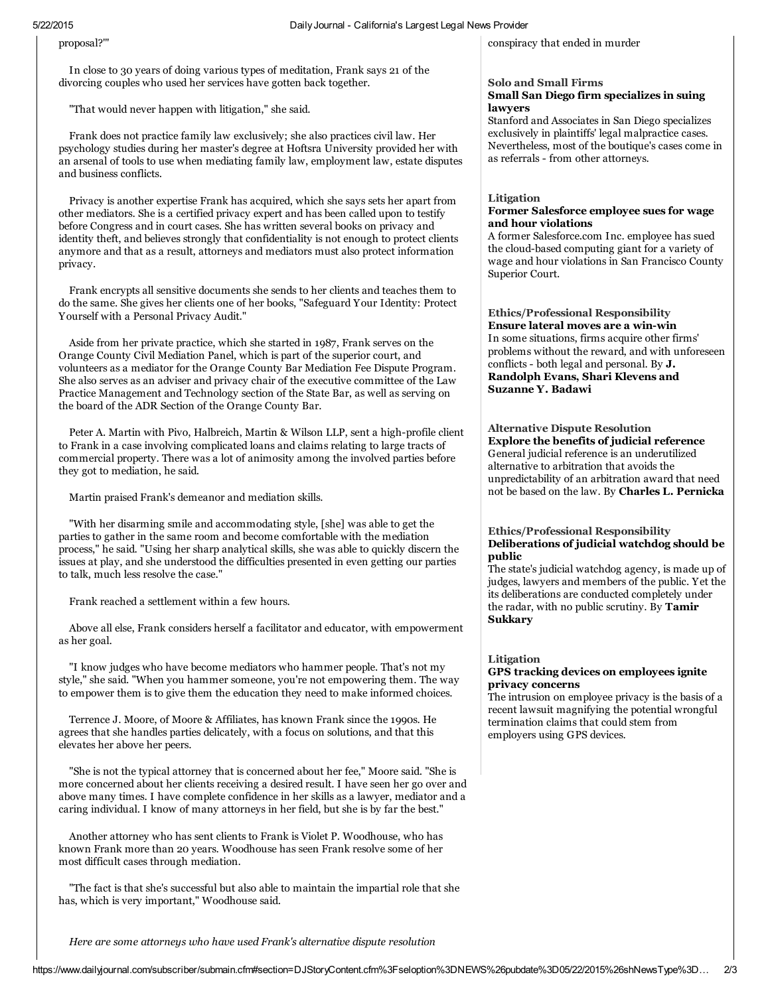proposal?'"

In close to 30 years of doing various types of meditation, Frank says 21 of the divorcing couples who used her services have gotten back together.

"That would never happen with litigation," she said.

Frank does not practice family law exclusively; she also practices civil law. Her psychology studies during her master's degree at Hoftsra University provided her with an arsenal of tools to use when mediating family law, employment law, estate disputes and business conflicts.

Privacy is another expertise Frank has acquired, which she says sets her apart from other mediators. She is a certified privacy expert and has been called upon to testify before Congress and in court cases. She has written several books on privacy and identity theft, and believes strongly that confidentiality is not enough to protect clients anymore and that as a result, attorneys and mediators must also protect information privacy.

Frank encrypts all sensitive documents she sends to her clients and teaches them to do the same. She gives her clients one of her books, "Safeguard Your Identity: Protect Yourself with a Personal Privacy Audit."

Aside from her private practice, which she started in 1987, Frank serves on the Orange County Civil Mediation Panel, which is part of the superior court, and volunteers as a mediator for the Orange County Bar Mediation Fee Dispute Program. She also serves as an adviser and privacy chair of the executive committee of the Law Practice Management and Technology section of the State Bar, as well as serving on the board of the ADR Section of the Orange County Bar.

Peter A. Martin with Pivo, Halbreich, Martin & Wilson LLP, sent a high-profile client to Frank in a case involving complicated loans and claims relating to large tracts of commercial property. There was a lot of animosity among the involved parties before they got to mediation, he said.

Martin praised Frank's demeanor and mediation skills.

"With her disarming smile and accommodating style, [she] was able to get the parties to gather in the same room and become comfortable with the mediation process," he said. "Using her sharp analytical skills, she was able to quickly discern the issues at play, and she understood the difficulties presented in even getting our parties to talk, much less resolve the case."

Frank reached a settlement within a few hours.

Above all else, Frank considers herself a facilitator and educator, with empowerment as her goal.

"I know judges who have become mediators who hammer people. That's not my style," she said. "When you hammer someone, you're not empowering them. The way to empower them is to give them the education they need to make informed choices.

Terrence J. Moore, of Moore & Affiliates, has known Frank since the 1990s. He agrees that she handles parties delicately, with a focus on solutions, and that this elevates her above her peers.

"She is not the typical attorney that is concerned about her fee," Moore said. "She is more concerned about her clients receiving a desired result. I have seen her go over and above many times. I have complete confidence in her skills as a lawyer, mediator and a caring individual. I know of many attorneys in her field, but she is by far the best."

Another attorney who has sent clients to Frank is Violet P. Woodhouse, who has known Frank more than 20 years. Woodhouse has seen Frank resolve some of her most difficult cases through mediation.

"The fact is that she's successful but also able to maintain the impartial role that she has, which is very important," Woodhouse said.

[conspiracy](javascript:pnListName=) that ended in murder

## Solo and Small Firms

## Small San Diego firm specializes in suing lawyers

Stanford and Associates in San Diego specializes exclusively in plaintiffs' legal malpractice cases. [Nevertheless,](javascript:pnListName=) most of the boutique's cases come in as referrals - from other attorneys.

#### Litigation Former Salesforce employee sues for wage and hour violations

A former [Salesforce.com](javascript:pnListName=) Inc. employee has sued the cloud-based computing giant for a variety of wage and hour violations in San Francisco County Superior Court.

Ethics/Professional Responsibility Ensure lateral moves are a win-win In some situations, firms acquire other firms' problems without the reward, and with unforeseen conflicts - both legal and personal. By J. [Randolph](javascript:pnListName=) Evans, Shari Klevens and Suzanne Y. Badawi

Alternative Dispute Resolution Explore the benefits of judicial reference General judicial reference is an underutilized alternative to arbitration that avoids the [unpredictability](javascript:pnListName=) of an arbitration award that need not be based on the law. By Charles L. Pernicka

## Ethics/Professional Responsibility [Deliberations](javascript:pnListName=) of judicial watchdog should be public

The state's judicial watchdog agency, is made up of judges, lawyers and members of the public. Yet the its deliberations are conducted completely under the radar, with no public scrutiny. By Tamir Sukkary

## Litigation

## GPS tracking devices on [employees](javascript:pnListName=) ignite privacy concerns

The intrusion on employee privacy is the basis of a recent lawsuit magnifying the potential wrongful termination claims that could stem from employers using GPS devices.

*Here are some attorneys who have used Frank's alternative dispute resolution*